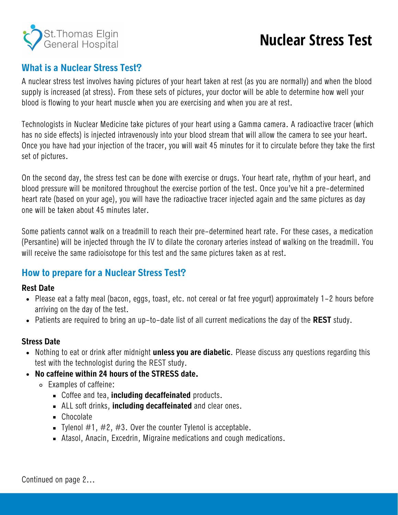

# **Nuclear Stress Test**

## **What is a Nuclear Stress Test?**

A nuclear stress test involves having pictures of your heart taken at rest (as you are normally) and when the blood supply is increased (at stress). From these sets of pictures, your doctor will be able to determine how well your blood is flowing to your heart muscle when you are exercising and when you are at rest.

Technologists in Nuclear Medicine take pictures of your heart using a Gamma camera. A radioactive tracer (which has no side effects) is injected intravenously into your blood stream that will allow the camera to see your heart. Once you have had your injection of the tracer, you will wait 45 minutes for it to circulate before they take the first set of pictures.

On the second day, the stress test can be done with exercise or drugs. Your heart rate, rhythm of your heart, and blood pressure will be monitored throughout the exercise portion of the test. Once you've hit a pre-determined heart rate (based on your age), you will have the radioactive tracer injected again and the same pictures as day one will be taken about 45 minutes later.

Some patients cannot walk on a treadmill to reach their pre-determined heart rate. For these cases, a medication (Persantine) will be injected through the IV to dilate the coronary arteries instead of walking on the treadmill. You will receive the same radioisotope for this test and the same pictures taken as at rest.

### **How to prepare for a Nuclear Stress Test?**

#### **Rest Date**

- Please eat a fatty meal (bacon, eggs, toast, etc. not cereal or fat free yogurt) approximately 1-2 hours before arriving on the day of the test.
- Patients are required to bring an up-to-date list of all current medications the day of the **REST** study.

#### **Stress Date**

- Nothing to eat or drink after midnight **unless you are diabetic**. Please discuss any questions regarding this test with the technologist during the REST study.
- **No caffeine within 24 hours of the STRESS date.**
	- Examples of caffeine:
		- Coffee and tea, **including decaffeinated** products.
		- ALL soft drinks, **including decaffeinated** and clear ones.
		- Chocolate
		- Tylenol  $\#1$ ,  $\#2$ ,  $\#3$ . Over the counter Tylenol is acceptable.
		- Atasol, Anacin, Excedrin, Migraine medications and cough medications.